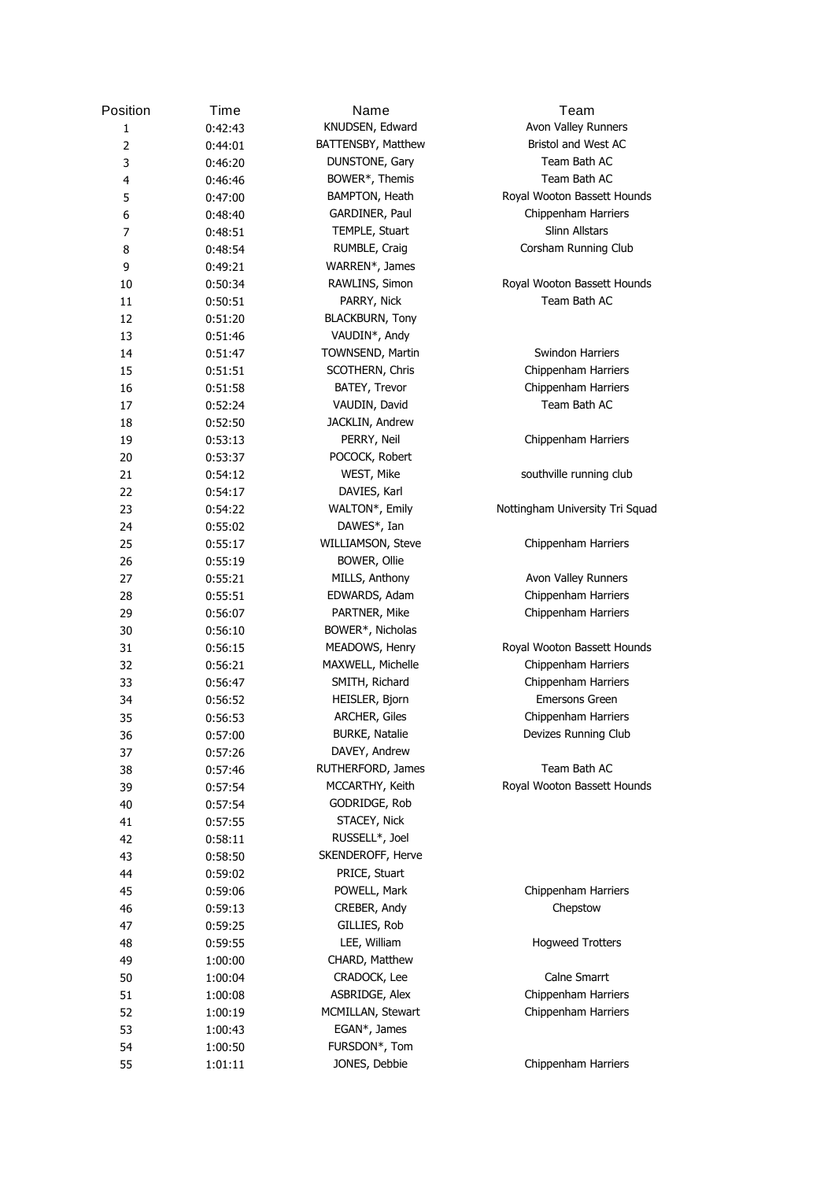| Position       | Time    | Name                   | Team                            |
|----------------|---------|------------------------|---------------------------------|
| 1              | 0:42:43 | KNUDSEN, Edward        | Avon Valley Runners             |
| $\overline{2}$ | 0:44:01 | BATTENSBY, Matthew     | Bristol and West AC             |
| 3              | 0:46:20 | DUNSTONE, Gary         | Team Bath AC                    |
| 4              | 0:46:46 | BOWER*, Themis         | Team Bath AC                    |
| 5              | 0:47:00 | BAMPTON, Heath         | Royal Wooton Bassett Hounds     |
| 6              | 0:48:40 | GARDINER, Paul         | Chippenham Harriers             |
| $\overline{7}$ | 0:48:51 | TEMPLE, Stuart         | Slinn Allstars                  |
| 8              | 0:48:54 | RUMBLE, Craig          | Corsham Running Club            |
| 9              | 0:49:21 | WARREN*, James         |                                 |
| 10             | 0:50:34 | RAWLINS, Simon         | Royal Wooton Bassett Hounds     |
| 11             | 0:50:51 | PARRY, Nick            | Team Bath AC                    |
| 12             | 0:51:20 | <b>BLACKBURN, Tony</b> |                                 |
| 13             | 0:51:46 | VAUDIN*, Andy          |                                 |
| 14             | 0:51:47 | TOWNSEND, Martin       | Swindon Harriers                |
| 15             | 0:51:51 | SCOTHERN, Chris        | Chippenham Harriers             |
| 16             | 0:51:58 | BATEY, Trevor          | Chippenham Harriers             |
| 17             | 0:52:24 | VAUDIN, David          | Team Bath AC                    |
| 18             | 0:52:50 | JACKLIN, Andrew        |                                 |
| 19             | 0:53:13 | PERRY, Neil            | Chippenham Harriers             |
| 20             | 0:53:37 | POCOCK, Robert         |                                 |
| 21             | 0:54:12 | WEST, Mike             | southville running club         |
| 22             | 0:54:17 | DAVIES, Karl           |                                 |
| 23             | 0:54:22 | WALTON*, Emily         | Nottingham University Tri Squad |
| 24             | 0:55:02 | DAWES*, Ian            |                                 |
| 25             | 0:55:17 | WILLIAMSON, Steve      | Chippenham Harriers             |
| 26             | 0:55:19 | BOWER, Ollie           |                                 |
| 27             | 0:55:21 | MILLS, Anthony         | Avon Valley Runners             |
| 28             | 0:55:51 | EDWARDS, Adam          | Chippenham Harriers             |
| 29             | 0:56:07 | PARTNER, Mike          | Chippenham Harriers             |
| 30             | 0:56:10 | BOWER*, Nicholas       |                                 |
| 31             | 0:56:15 | MEADOWS, Henry         | Royal Wooton Bassett Hounds     |
| 32             | 0:56:21 | MAXWELL, Michelle      | Chippenham Harriers             |
| 33             | 0:56:47 | SMITH, Richard         | Chippenham Harriers             |
| 34             | 0:56:52 | HEISLER, Bjorn         | <b>Emersons Green</b>           |
| 35             | 0:56:53 | ARCHER, Giles          | Chippenham Harriers             |
| 36             | 0:57:00 | <b>BURKE, Natalie</b>  | Devizes Running Club            |
| 37             | 0:57:26 | DAVEY, Andrew          |                                 |
| 38             | 0:57:46 | RUTHERFORD, James      | Team Bath AC                    |
| 39             | 0:57:54 | MCCARTHY, Keith        | Royal Wooton Bassett Hounds     |
| 40             | 0:57:54 | GODRIDGE, Rob          |                                 |
| 41             | 0:57:55 | STACEY, Nick           |                                 |
| 42             | 0:58:11 | RUSSELL*, Joel         |                                 |
| 43             | 0:58:50 | SKENDEROFF, Herve      |                                 |
| 44             | 0:59:02 | PRICE, Stuart          |                                 |
| 45             | 0:59:06 | POWELL, Mark           | Chippenham Harriers             |
| 46             | 0:59:13 | CREBER, Andy           | Chepstow                        |
| 47             | 0:59:25 | GILLIES, Rob           |                                 |
| 48             | 0:59:55 | LEE, William           | <b>Hogweed Trotters</b>         |
| 49             | 1:00:00 | CHARD, Matthew         |                                 |
| 50             | 1:00:04 | CRADOCK, Lee           | Calne Smarrt                    |
| 51             | 1:00:08 | ASBRIDGE, Alex         | Chippenham Harriers             |
| 52             | 1:00:19 | MCMILLAN, Stewart      | Chippenham Harriers             |
| 53             | 1:00:43 | EGAN*, James           |                                 |
| 54             | 1:00:50 | FURSDON*, Tom          |                                 |
| 55             | 1:01:11 | JONES, Debbie          | Chippenham Harriers             |
|                |         |                        |                                 |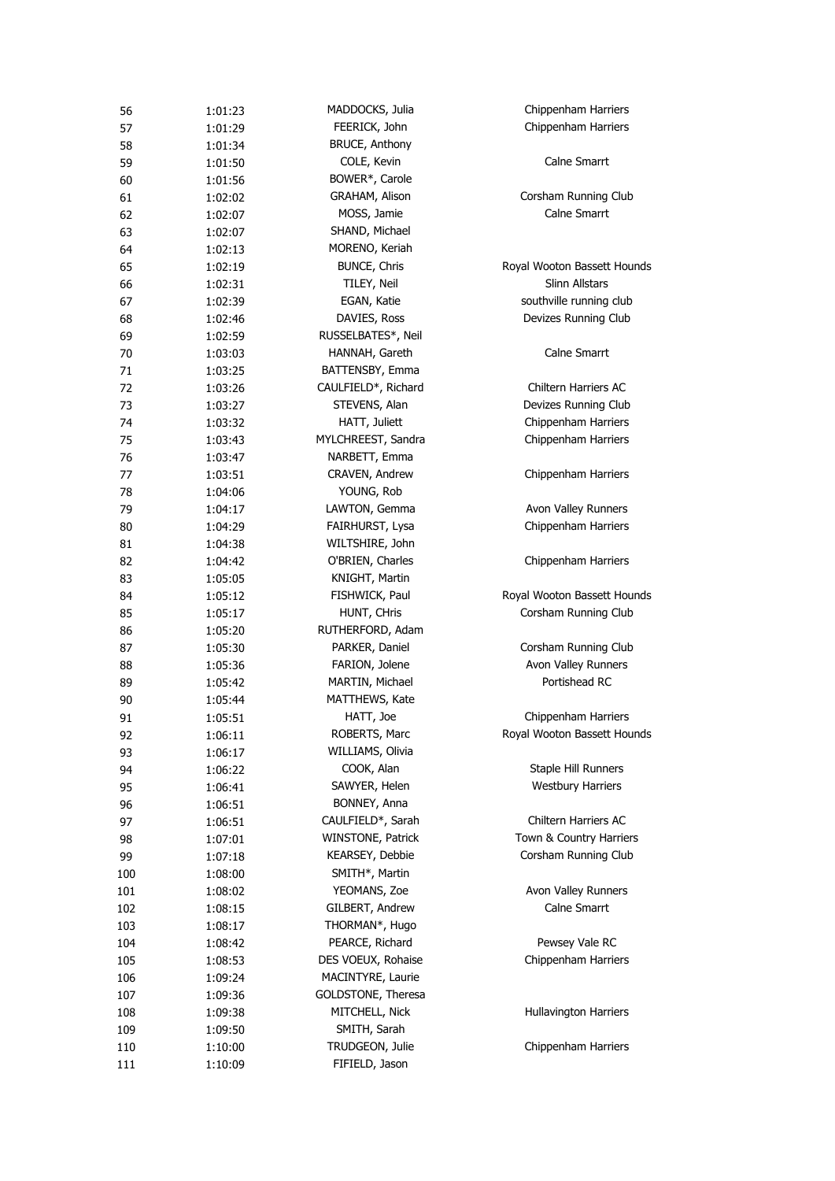| 56       | 1:01:23 | MADDOCKS, Julia                        | Chippenham Harriers         |
|----------|---------|----------------------------------------|-----------------------------|
| 57       | 1:01:29 | FEERICK, John                          | Chippenham Harriers         |
| 58       | 1:01:34 | <b>BRUCE, Anthony</b>                  |                             |
| 59       | 1:01:50 | COLE, Kevin                            | Calne Smarrt                |
| 60       | 1:01:56 | BOWER*, Carole                         |                             |
| 61       | 1:02:02 | GRAHAM, Alison                         | Corsham Running Club        |
| 62       | 1:02:07 | MOSS, Jamie                            | Calne Smarrt                |
| 63       | 1:02:07 | SHAND, Michael                         |                             |
| 64       | 1:02:13 | MORENO, Keriah                         |                             |
| 65       | 1:02:19 | BUNCE, Chris                           | Royal Wooton Bassett Hounds |
| 66       | 1:02:31 | TILEY, Neil                            | Slinn Allstars              |
| 67       | 1:02:39 | EGAN, Katie                            | southville running club     |
| 68       | 1:02:46 | DAVIES, Ross                           | Devizes Running Club        |
| 69       | 1:02:59 | RUSSELBATES*, Neil                     |                             |
| 70       | 1:03:03 | HANNAH, Gareth                         | Calne Smarrt                |
| 71       | 1:03:25 | BATTENSBY, Emma                        |                             |
| 72       | 1:03:26 | CAULFIELD*, Richard                    | Chiltern Harriers AC        |
| 73       | 1:03:27 | STEVENS, Alan                          | Devizes Running Club        |
| 74       | 1:03:32 | HATT, Juliett                          | Chippenham Harriers         |
| 75       | 1:03:43 | MYLCHREEST, Sandra                     | Chippenham Harriers         |
| 76       | 1:03:47 | NARBETT, Emma                          |                             |
| 77       | 1:03:51 | CRAVEN, Andrew                         | Chippenham Harriers         |
| 78       | 1:04:06 | YOUNG, Rob                             |                             |
| 79       | 1:04:17 | LAWTON, Gemma                          | Avon Valley Runners         |
| 80       | 1:04:29 | FAIRHURST, Lysa                        | Chippenham Harriers         |
| 81       | 1:04:38 | WILTSHIRE, John                        |                             |
| 82       | 1:04:42 | O'BRIEN, Charles                       | Chippenham Harriers         |
| 83       | 1:05:05 | KNIGHT, Martin                         |                             |
| 84       | 1:05:12 | FISHWICK, Paul                         | Royal Wooton Bassett Hounds |
| 85       | 1:05:17 | HUNT, CHris                            | Corsham Running Club        |
| 86       | 1:05:20 | RUTHERFORD, Adam                       |                             |
| 87       | 1:05:30 | PARKER, Daniel                         | Corsham Running Club        |
| 88       | 1:05:36 | FARION, Jolene                         | Avon Valley Runners         |
| 89       |         | MARTIN, Michael                        | Portishead RC               |
|          | 1:05:42 | MATTHEWS, Kate                         |                             |
| 90<br>91 | 1:05:44 | HATT, Joe                              | Chippenham Harriers         |
| 92       | 1:05:51 | ROBERTS, Marc                          | Royal Wooton Bassett Hounds |
|          | 1:06:11 |                                        |                             |
| 93       | 1:06:17 | WILLIAMS, Olivia                       | Staple Hill Runners         |
| 94       | 1:06:22 | COOK, Alan<br>SAWYER, Helen            | <b>Westbury Harriers</b>    |
| 95       | 1:06:41 |                                        |                             |
| 96       | 1:06:51 | BONNEY, Anna                           | Chiltern Harriers AC        |
| 97       | 1:06:51 | CAULFIELD*, Sarah<br>WINSTONE, Patrick |                             |
| 98       | 1:07:01 |                                        | Town & Country Harriers     |
| 99       | 1:07:18 | KEARSEY, Debbie                        | Corsham Running Club        |
| 100      | 1:08:00 | SMITH*, Martin                         |                             |
| 101      | 1:08:02 | YEOMANS, Zoe                           | Avon Valley Runners         |
| 102      | 1:08:15 | GILBERT, Andrew                        | Calne Smarrt                |
| 103      | 1:08:17 | THORMAN*, Hugo                         |                             |
| 104      | 1:08:42 | PEARCE, Richard                        | Pewsey Vale RC              |
| 105      | 1:08:53 | DES VOEUX, Rohaise                     | Chippenham Harriers         |
| 106      | 1:09:24 | MACINTYRE, Laurie                      |                             |
| 107      | 1:09:36 | GOLDSTONE, Theresa                     |                             |
| 108      | 1:09:38 | MITCHELL, Nick                         | Hullavington Harriers       |
| 109      | 1:09:50 | SMITH, Sarah                           |                             |
| 110      | 1:10:00 | TRUDGEON, Julie                        | Chippenham Harriers         |
| 111      | 1:10:09 | FIFIELD, Jason                         |                             |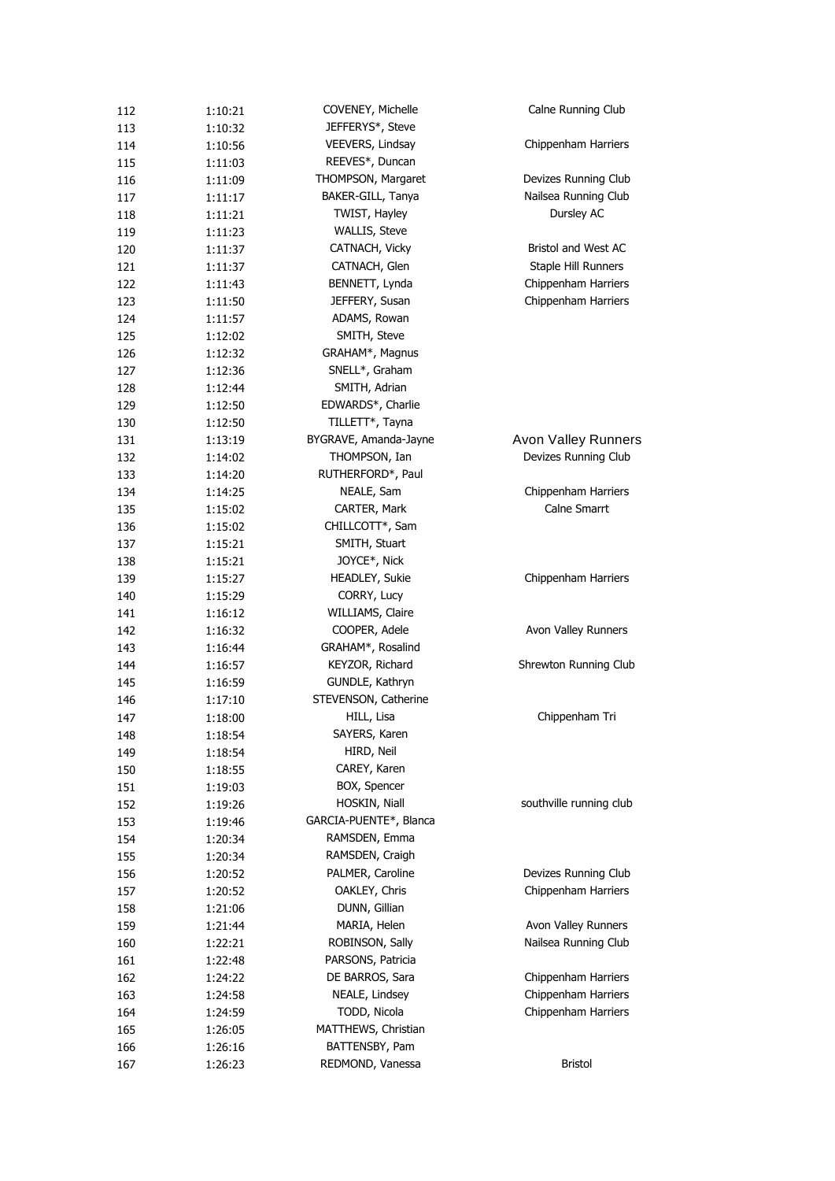| 112        | 1:10:21            | COVENEY, Michelle      | Calne Running Club         |
|------------|--------------------|------------------------|----------------------------|
| 113        | 1:10:32            | JEFFERYS*, Steve       |                            |
| 114        | 1:10:56            | VEEVERS, Lindsay       | Chippenham Harriers        |
| 115        | 1:11:03            | REEVES*, Duncan        |                            |
| 116        | 1:11:09            | THOMPSON, Margaret     | Devizes Running Club       |
| 117        | 1:11:17            | BAKER-GILL, Tanya      | Nailsea Running Club       |
| 118        | 1:11:21            | TWIST, Hayley          | Dursley AC                 |
| 119        | 1:11:23            | <b>WALLIS, Steve</b>   |                            |
| 120        | 1:11:37            | CATNACH, Vicky         | <b>Bristol and West AC</b> |
| 121        | 1:11:37            | CATNACH, Glen          | Staple Hill Runners        |
| 122        | 1:11:43            | BENNETT, Lynda         | Chippenham Harriers        |
| 123        | 1:11:50            | JEFFERY, Susan         | Chippenham Harriers        |
| 124        | 1:11:57            | ADAMS, Rowan           |                            |
| 125        | 1:12:02            | SMITH, Steve           |                            |
| 126        | 1:12:32            | GRAHAM*, Magnus        |                            |
| 127        | 1:12:36            | SNELL*, Graham         |                            |
| 128        | 1:12:44            | SMITH, Adrian          |                            |
| 129        | 1:12:50            | EDWARDS*, Charlie      |                            |
| 130        | 1:12:50            | TILLETT*, Tayna        |                            |
| 131        | 1:13:19            | BYGRAVE, Amanda-Jayne  | <b>Avon Valley Runners</b> |
| 132        | 1:14:02            | THOMPSON, Ian          | Devizes Running Club       |
| 133        | 1:14:20            | RUTHERFORD*, Paul      |                            |
| 134        | 1:14:25            | NEALE, Sam             | Chippenham Harriers        |
| 135        | 1:15:02            | CARTER, Mark           | Calne Smarrt               |
| 136        | 1:15:02            | CHILLCOTT*, Sam        |                            |
| 137        | 1:15:21            | SMITH, Stuart          |                            |
| 138        | 1:15:21            | JOYCE*, Nick           |                            |
| 139        | 1:15:27            | HEADLEY, Sukie         | Chippenham Harriers        |
| 140        | 1:15:29            | CORRY, Lucy            |                            |
| 141        | 1:16:12            | WILLIAMS, Claire       |                            |
| 142        | 1:16:32            | COOPER, Adele          | Avon Valley Runners        |
| 143        | 1:16:44            | GRAHAM*, Rosalind      |                            |
| 144        | 1:16:57            | KEYZOR, Richard        | Shrewton Running Club      |
| 145        | 1:16:59            | GUNDLE, Kathryn        |                            |
| 146        | 1:17:10            | STEVENSON, Catherine   |                            |
| 147        | 1:18:00            | HILL, Lisa             | Chippenham Tri             |
| 148        | 1:18:54            | SAYERS, Karen          |                            |
| 149        | 1:18:54            | HIRD, Neil             |                            |
| 150        | 1:18:55            | CAREY, Karen           |                            |
| 151        | 1:19:03            | BOX, Spencer           |                            |
| 152        | 1:19:26            | HOSKIN, Niall          | southville running club    |
| 153        | 1:19:46            | GARCIA-PUENTE*, Blanca |                            |
| 154        | 1:20:34            | RAMSDEN, Emma          |                            |
| 155        | 1:20:34            | RAMSDEN, Craigh        |                            |
| 156        | 1:20:52            | PALMER, Caroline       | Devizes Running Club       |
| 157        | 1:20:52            | OAKLEY, Chris          | Chippenham Harriers        |
| 158        | 1:21:06            | DUNN, Gillian          |                            |
| 159        | 1:21:44            | MARIA, Helen           | Avon Valley Runners        |
| 160        | 1:22:21            | ROBINSON, Sally        | Nailsea Running Club       |
|            |                    | PARSONS, Patricia      |                            |
| 161<br>162 | 1:22:48            | DE BARROS, Sara        | Chippenham Harriers        |
| 163        | 1:24:22<br>1:24:58 | NEALE, Lindsey         | Chippenham Harriers        |
| 164        | 1:24:59            | TODD, Nicola           | Chippenham Harriers        |
| 165        |                    | MATTHEWS, Christian    |                            |
| 166        | 1:26:05<br>1:26:16 | BATTENSBY, Pam         |                            |
| 167        |                    | REDMOND, Vanessa       | <b>Bristol</b>             |
|            | 1:26:23            |                        |                            |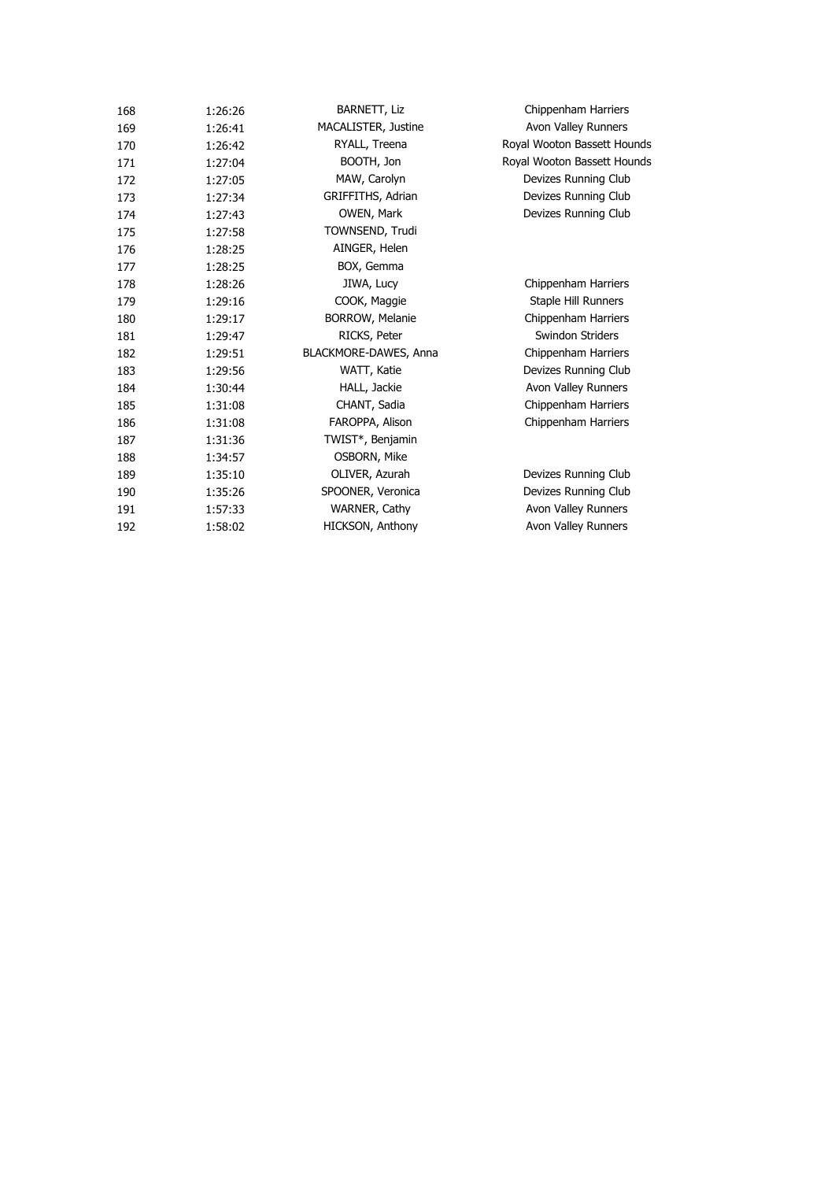| 168 | 1:26:26 | <b>BARNETT, Liz</b>   | Chippenham Harriers         |
|-----|---------|-----------------------|-----------------------------|
| 169 | 1:26:41 | MACALISTER, Justine   | Avon Valley Runners         |
| 170 | 1:26:42 | RYALL, Treena         | Royal Wooton Bassett Hounds |
| 171 | 1:27:04 | BOOTH, Jon            | Royal Wooton Bassett Hounds |
| 172 | 1:27:05 | MAW, Carolyn          | Devizes Running Club        |
| 173 | 1:27:34 | GRIFFITHS, Adrian     | Devizes Running Club        |
| 174 | 1:27:43 | OWEN, Mark            | Devizes Running Club        |
| 175 | 1:27:58 | TOWNSEND, Trudi       |                             |
| 176 | 1:28:25 | AINGER, Helen         |                             |
| 177 | 1:28:25 | BOX, Gemma            |                             |
| 178 | 1:28:26 | JIWA, Lucy            | Chippenham Harriers         |
| 179 | 1:29:16 | COOK, Maggie          | Staple Hill Runners         |
| 180 | 1:29:17 | BORROW, Melanie       | Chippenham Harriers         |
| 181 | 1:29:47 | RICKS, Peter          | Swindon Striders            |
| 182 | 1:29:51 | BLACKMORE-DAWES, Anna | Chippenham Harriers         |
| 183 | 1:29:56 | WATT, Katie           | Devizes Running Club        |
| 184 | 1:30:44 | HALL, Jackie          | Avon Valley Runners         |
| 185 | 1:31:08 | CHANT, Sadia          | Chippenham Harriers         |
| 186 | 1:31:08 | FAROPPA, Alison       | Chippenham Harriers         |
| 187 | 1:31:36 | TWIST*, Benjamin      |                             |
| 188 | 1:34:57 | OSBORN, Mike          |                             |
| 189 | 1:35:10 | OLIVER, Azurah        | Devizes Running Club        |
| 190 | 1:35:26 | SPOONER, Veronica     | Devizes Running Club        |
| 191 | 1:57:33 | WARNER, Cathy         | Avon Valley Runners         |
| 192 | 1:58:02 | HICKSON, Anthony      | Avon Valley Runners         |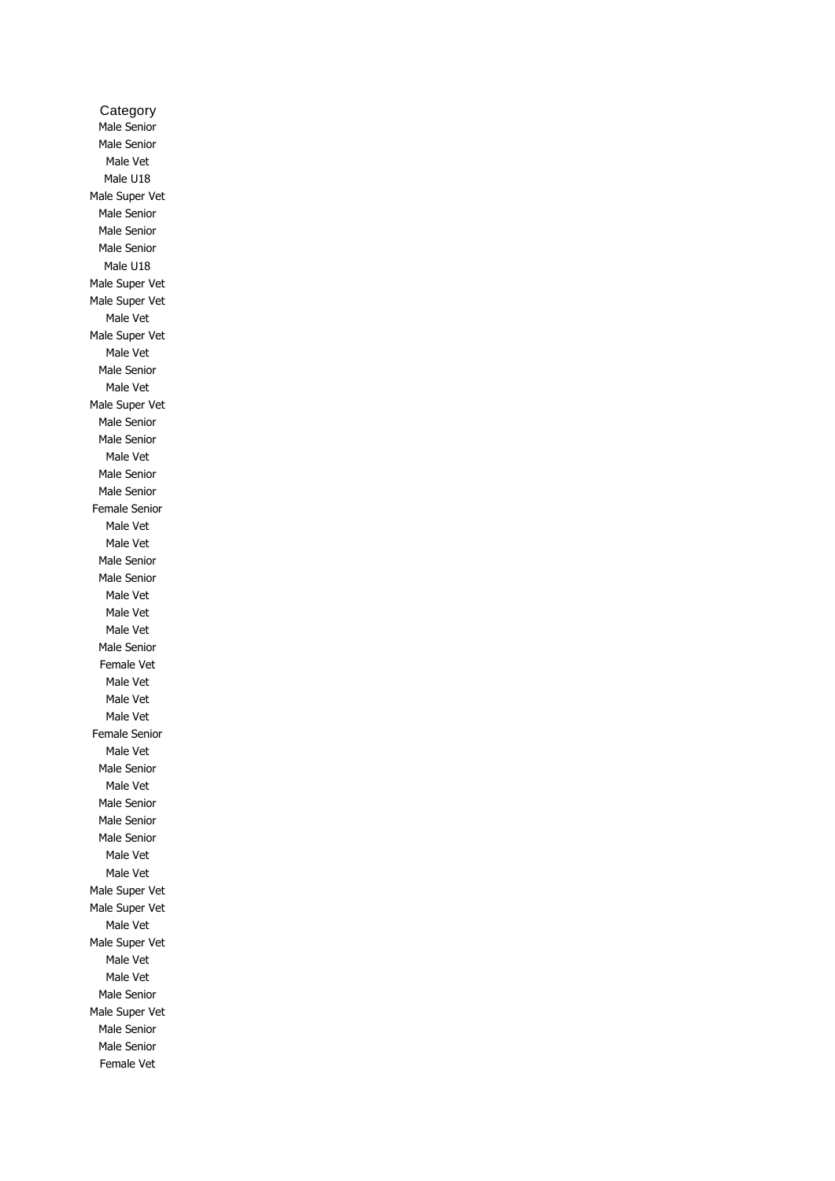Category Male Senior Male Senior Male Vet Male U18 Male Super Vet Male Senior Male Senior Male Senior Male U18 Male Super Vet Male Super Vet Male Vet Male Super Vet Male Vet Male Senior Male Vet Male Super Vet Male Senior Male Senior Male Vet Male Senior Male Senior Female Senior Male Vet Male Vet Male Senior Male Senior Male Vet Male Vet Male Vet Male Senior Female Vet Male Vet Male Vet Male Vet Female Senior Male Vet Male Senior Male Vet Male Senior Male Senior Male Senior Male Vet Male Vet Male Super Vet Male Super Vet Male Vet Male Super Vet Male Vet Male Vet Male Senior Male Super Vet Male Senior Male Senior Female Vet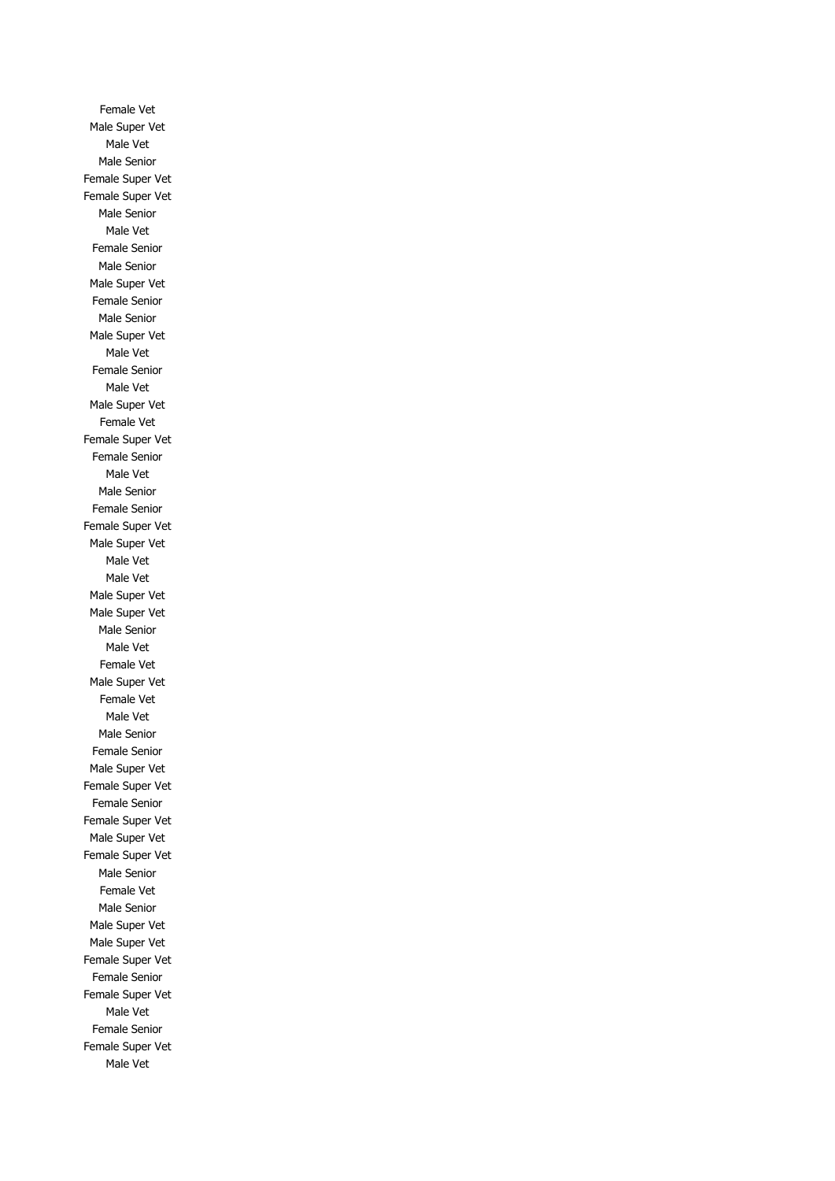Female Vet Male Super Vet Male Vet Male Senior Female Super Vet Female Super Vet Male Senior Male Vet Female Senior Male Senior Male Super Vet Female Senior Male Senior Male Super Vet Male Vet Female Senior Male Vet Male Super Vet Female Vet Female Super Vet Female Senior Male Vet Male Senior Female Senior Female Super Vet Male Super Vet Male Vet Male Vet Male Super Vet Male Super Vet Male Senior Male Vet Female Vet Male Super Vet Female Vet Male Vet Male Senior Female Senior Male Super Vet Female Super Vet Female Senior Female Super Vet Male Super Vet Female Super Vet Male Senior Female Vet Male Senior Male Super Vet Male Super Vet Female Super Vet Female Senior Female Super Vet Male Vet Female Senior Female Super Vet Male Vet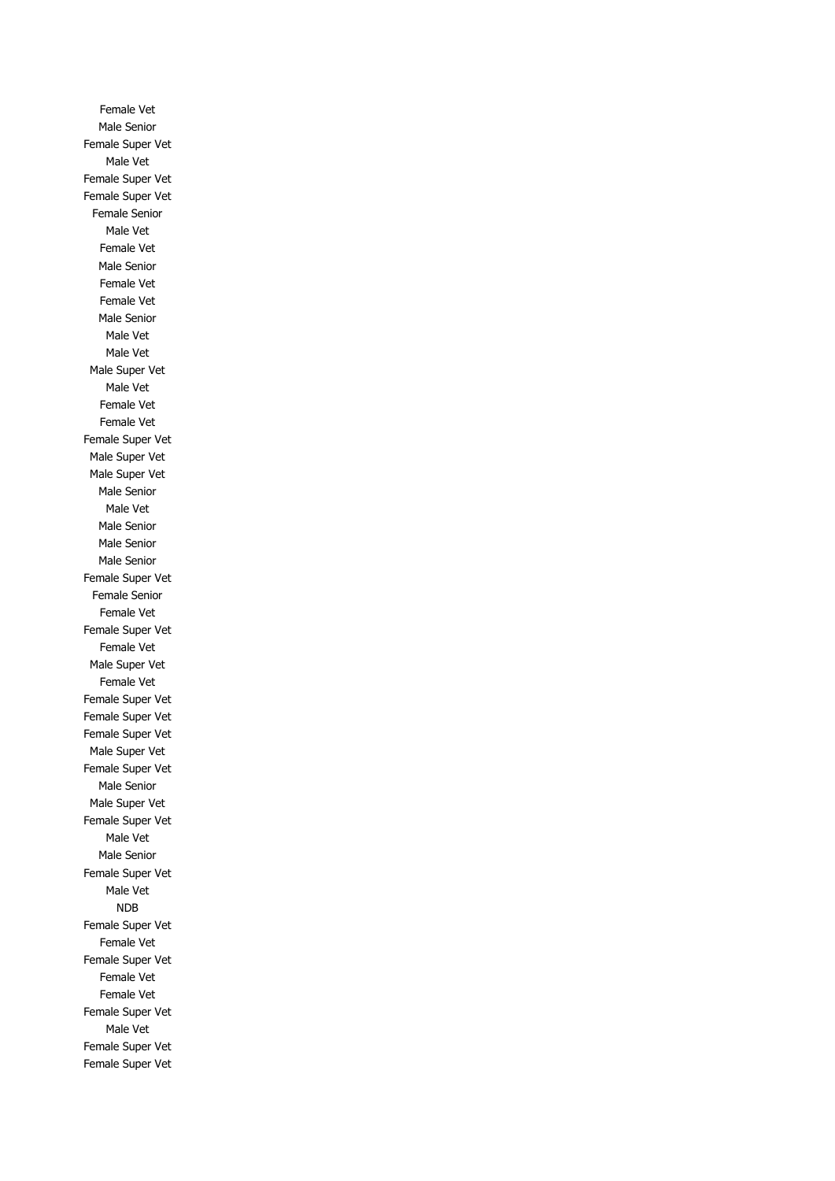Female Vet Male Senior Female Super Vet Male Vet Female Super Vet Female Super Vet Female Senior Male Vet Female Vet Male Senior Female Vet Female Vet Male Senior Male Vet Male Vet Male Super Vet Male Vet Female Vet Female Vet Female Super Vet Male Super Vet Male Super Vet Male Senior Male Vet Male Senior Male Senior Male Senior Female Super Vet Female Senior Female Vet Female Super Vet Female Vet Male Super Vet Female Vet Female Super Vet Female Super Vet Female Super Vet Male Super Vet Female Super Vet Male Senior Male Super Vet Female Super Vet Male Vet Male Senior Female Super Vet Male Vet NDB Female Super Vet Female Vet Female Super Vet Female Vet Female Vet Female Super Vet Male Vet Female Super Vet Female Super Vet